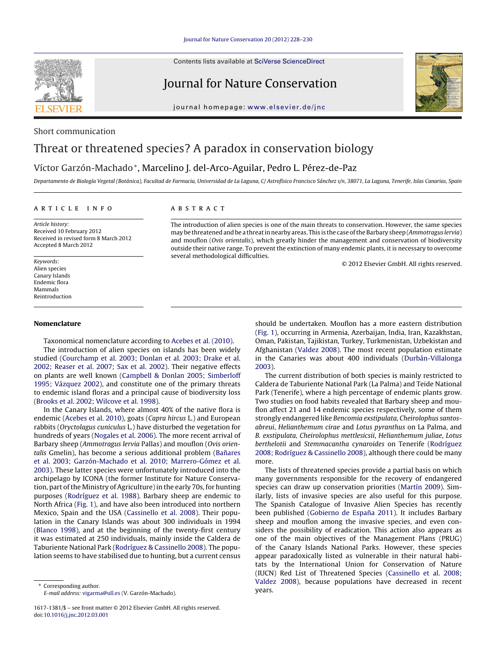Contents lists available at SciVerse [ScienceDirect](http://www.sciencedirect.com/science/journal/16171381)

# Journal for Nature Conservation



journal homepage: www.elsevier.de/inc

# Short communication

# Threat or threatened species? A paradox in conservation biology

## Víctor Garzón-Machado∗, Marcelino J. del-Arco-Aguilar, Pedro L. Pérez-de-Paz

Departamento de Biología Vegetal (Botánica), Facultad de Farmacia, Universidad de La Laguna, C/ Astrofísico Francisco Sánchez s/n, 38071, La Laguna, Tenerife, Islas Canarias, Spain

#### a r t i c l e i n f o

## A B S T R A C T

Article history: Received 10 February 2012 Received in revised form 8 March 2012 Accepted 8 March 2012

Keywords: Alien species Canary Islands Endemic flora Mammals Reintroduction

### **Nomenclature**

Taxonomical nomenclature according to [Acebes](#page-2-0) et [al.](#page-2-0) [\(2010\).](#page-2-0)

The introduction of alien species on islands has been widely studied [\(Courchamp](#page-2-0) et [al.](#page-2-0) [2003;](#page-2-0) [Donlan](#page-2-0) et [al.](#page-2-0) [2003;](#page-2-0) [Drake](#page-2-0) et [al.](#page-2-0) [2002;](#page-2-0) [Reaser](#page-2-0) et [al.](#page-2-0) [2007;](#page-2-0) [Sax](#page-2-0) et [al.](#page-2-0) [2002\).](#page-2-0) Their negative effects on plants are well known [\(Campbell](#page-2-0) [&](#page-2-0) [Donlan](#page-2-0) [2005;](#page-2-0) [Simberloff](#page-2-0) [1995;](#page-2-0) [Vázquez](#page-2-0) [2002\),](#page-2-0) and constitute one of the primary threats to endemic island floras and a principal cause of biodiversity loss ([Brooks](#page-2-0) et [al.](#page-2-0) [2002;](#page-2-0) [Wilcove](#page-2-0) et [al.](#page-2-0) [1998\).](#page-2-0)

In the Canary Islands, where almost 40% of the native flora is endemic ([Acebes](#page-2-0) et [al.](#page-2-0) [2010\),](#page-2-0) goats (Capra hircus L.) and European rabbits (Oryctolagus cuniculus L.) have disturbed the vegetation for hundreds of years [\(Nogales](#page-2-0) et [al.](#page-2-0) [2006\).](#page-2-0) The more recent arrival of Barbary sheep (Ammotragus lervia Pallas) and mouflon (Ovis orientalis Gmelin), has become a serious additional problem (Bañares et [al.](#page-2-0) [2003;](#page-2-0) [Garzón-Machado](#page-2-0) et [al.](#page-2-0) [2010;](#page-2-0) [Marrero-Gómez](#page-2-0) et [al.](#page-2-0) [2003\).](#page-2-0) These latter species were unfortunately introduced into the archipelago by ICONA (the former Institute for Nature Conservation, part of the Ministry of Agriculture) in the early 70s, for hunting purposes ([Rodríguez](#page-2-0) et [al.](#page-2-0) [1988\).](#page-2-0) Barbary sheep are endemic to North Africa [\(Fig.](#page-1-0) 1), and have also been introduced into northern Mexico, Spain and the USA [\(Cassinello](#page-2-0) et [al.](#page-2-0) [2008\).](#page-2-0) Their population in the Canary Islands was about 300 individuals in 1994 ([Blanco](#page-2-0) [1998\),](#page-2-0) and at the beginning of the twenty-first century it was estimated at 250 individuals, mainly inside the Caldera de Taburiente National Park ([Rodríguez](#page-2-0) [&](#page-2-0) [Cassinello](#page-2-0) [2008\).](#page-2-0) The population seems to have stabilised due to hunting, but a current census

The introduction of alien species is one of the main threats to conservation. However, the same species may be threatened and be a threat in nearby areas. This is the case of the Barbary sheep (Ammotragus lervia) and mouflon (Ovis orientalis), which greatly hinder the management and conservation of biodiversity outside their native range. To prevent the extinction of many endemic plants, it is necessary to overcome several methodological difficulties.

© 2012 Elsevier GmbH. All rights reserved.

should be undertaken. Mouflon has a more eastern distribution [\(Fig.](#page-1-0) 1), occurring in Armenia, Azerbaijan, India, Iran, Kazakhstan, Oman, Pakistan, Tajikistan, Turkey, Turkmenistan, Uzbekistan and Afghanistan ([Valdez](#page-2-0) [2008\).](#page-2-0) The most recent population estimate in the Canaries was about 400 individuals ([Durbán-Villalonga](#page-2-0) [2003\).](#page-2-0)

The current distribution of both species is mainly restricted to Caldera de Taburiente National Park (La Palma) and Teide National Park (Tenerife), where a high percentage of endemic plants grow. Two studies on food habits revealed that Barbary sheep and mouflon affect 21 and 14 endemic species respectively, some of them strongly endangered like Bencomia exstipulata, Cheirolophus santosabreui, Helianthemum cirae and Lotus pyranthus on La Palma, and B. exstipulata, Cheirolophus mettlesicsii, Helianthemum juliae, Lotus berthelotii and Stemmacantha cynaroides on Tenerife [\(Rodríguez](#page-2-0) [2008;](#page-2-0) [Rodríguez](#page-2-0) [&](#page-2-0) [Cassinello](#page-2-0) [2008\),](#page-2-0) although there could be many more.

The lists of threatened species provide a partial basis on which many governments responsible for the recovery of endangered species can draw up conservation priorities [\(Martín](#page-2-0) [2009\).](#page-2-0) Similarly, lists of invasive species are also useful for this purpose. The Spanish Catalogue of Invasive Alien Species has recently been published ([Gobierno](#page-2-0) [de](#page-2-0) España [2011\).](#page-2-0) It includes Barbary sheep and mouflon among the invasive species, and even considers the possibility of eradication. This action also appears as one of the main objectives of the Management Plans (PRUG) of the Canary Islands National Parks. However, these species appear paradoxically listed as vulnerable in their natural habitats by the International Union for Conservation of Nature (IUCN) Red List of Threatened Species [\(Cassinello](#page-2-0) et [al.](#page-2-0) [2008;](#page-2-0) [Valdez](#page-2-0) [2008\),](#page-2-0) because populations have decreased in recent years.



<sup>∗</sup> Corresponding author. E-mail address: [vigarma@ull.es](mailto:vigarma@ull.es) (V. Garzón-Machado).

<sup>1617-1381/\$</sup> – see front matter © 2012 Elsevier GmbH. All rights reserved. doi:[10.1016/j.jnc.2012.03.001](dx.doi.org/10.1016/j.jnc.2012.03.001)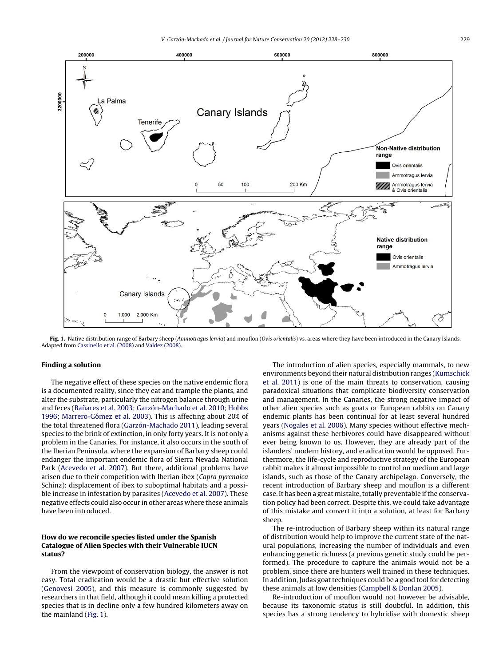<span id="page-1-0"></span>

Fig. 1. Native distribution range of Barbary sheep (Ammotragus lervia) and mouflon (Ovis orientalis) vs. areas where they have been introduced in the Canary Islands. Adapted from [Cassinello](#page-2-0) et [al.](#page-2-0) [\(2008\)](#page-2-0) and [Valdez](#page-2-0) [\(2008\).](#page-2-0)

#### **Finding a solution**

The negative effect of these species on the native endemic flora is a documented reality, since they eat and trample the plants, and alter the substrate, particularly the nitrogen balance through urine and feces (Bañares et [al.](#page-2-0) [2003;](#page-2-0) [Garzón-Machado](#page-2-0) et al. [2010;](#page-2-0) [Hobbs](#page-2-0) [1996;](#page-2-0) [Marrero-Gómez](#page-2-0) et [al.](#page-2-0) [2003\).](#page-2-0) This is affecting about 20% of the total threatened flora [\(Garzón-Machado](#page-2-0) [2011\),](#page-2-0) leading several species to the brink of extinction, in only forty years. It is not only a problem in the Canaries. For instance, it also occurs in the south of the Iberian Peninsula, where the expansion of Barbary sheep could endanger the important endemic flora of Sierra Nevada National Park [\(Acevedo](#page-2-0) et [al.](#page-2-0) [2007\).](#page-2-0) But there, additional problems have arisen due to their competition with Iberian ibex (Capra pyrenaica Schinz): displacement of ibex to suboptimal habitats and a possible increase in infestation by parasites [\(Acevedo](#page-2-0) et [al.](#page-2-0) [2007\).](#page-2-0) These negative effects could also occur in other areas where these animals have been introduced.

### **How do we reconcile species listed under the Spanish Catalogue of Alien Species with their Vulnerable IUCN status?**

From the viewpoint of conservation biology, the answer is not easy. Total eradication would be a drastic but effective solution ([Genovesi](#page-2-0) [2005\),](#page-2-0) and this measure is commonly suggested by researchers in that field, although it could mean killing a protected species that is in decline only a few hundred kilometers away on the mainland (Fig. 1).

The introduction of alien species, especially mammals, to new environments beyond their natural distribution ranges [\(Kumschick](#page-2-0) et [al.](#page-2-0) [2011\)](#page-2-0) is one of the main threats to conservation, causing paradoxical situations that complicate biodiversity conservation and management. In the Canaries, the strong negative impact of other alien species such as goats or European rabbits on Canary endemic plants has been continual for at least several hundred years [\(Nogales](#page-2-0) et [al.](#page-2-0) [2006\).](#page-2-0) Many species without effective mechanisms against these herbivores could have disappeared without ever being known to us. However, they are already part of the islanders' modern history, and eradication would be opposed. Furthermore, the life-cycle and reproductive strategy of the European rabbit makes it almost impossible to control on medium and large islands, such as those of the Canary archipelago. Conversely, the recent introduction of Barbary sheep and mouflon is a different case. It has been a great mistake, totally preventable if the conservation policy had been correct. Despite this, we could take advantage of this mistake and convert it into a solution, at least for Barbary sheep.

The re-introduction of Barbary sheep within its natural range of distribution would help to improve the current state of the natural populations, increasing the number of individuals and even enhancing genetic richness (a previous genetic study could be performed). The procedure to capture the animals would not be a problem, since there are hunters well trained in these techniques. In addition, Judas goat techniques could be a good tool for detecting these animals at low densities [\(Campbell](#page-2-0) [&](#page-2-0) [Donlan](#page-2-0) [2005\).](#page-2-0)

Re-introduction of mouflon would not however be advisable, because its taxonomic status is still doubtful. In addition, this species has a strong tendency to hybridise with domestic sheep